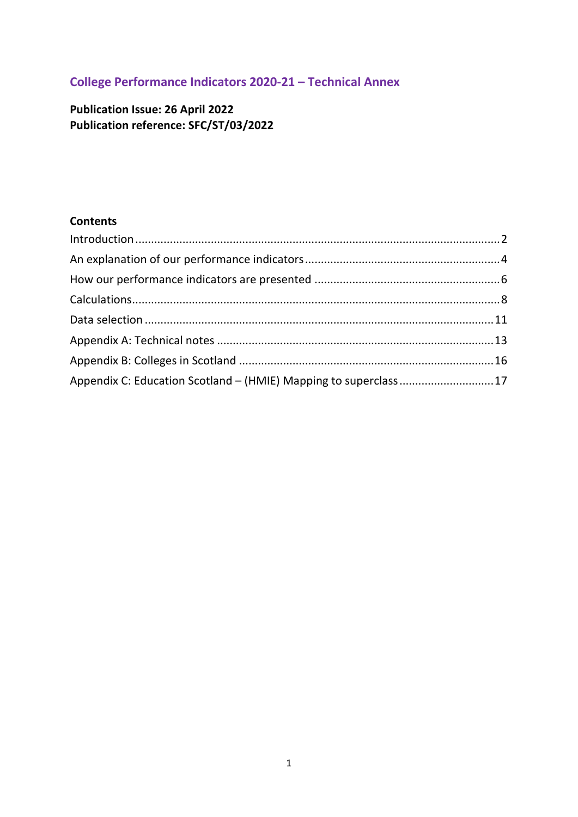## **College Performance Indicators 2020-21 – Technical Annex**

**Publication Issue: 26 April 2022 Publication reference: SFC/ST/03/2022**

#### **Contents**

<span id="page-0-0"></span>

| Appendix C: Education Scotland - (HMIE) Mapping to superclass 17 |  |
|------------------------------------------------------------------|--|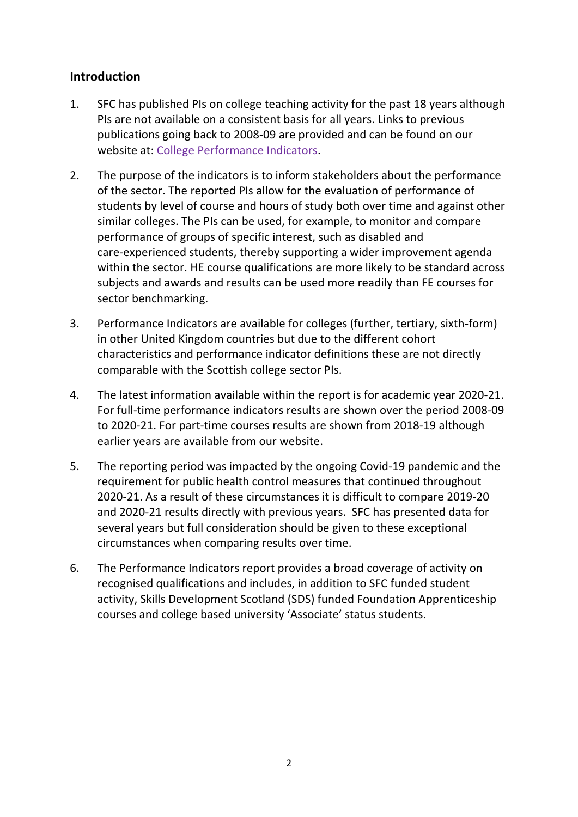### <span id="page-1-0"></span>**Introduction**

- 1. SFC has published PIs on college teaching activity for the past 18 years although PIs are not available on a consistent basis for all years. Links to previous publications going back to 2008-09 are provided and can be found on our website at: [College Performance Indicators.](http://www.sfc.ac.uk/publications-statistics/statistics/statistics-colleges/college-performance-indicators/college-performance-indicators.aspx)
- 2. The purpose of the indicators is to inform stakeholders about the performance of the sector. The reported PIs allow for the evaluation of performance of students by level of course and hours of study both over time and against other similar colleges. The PIs can be used, for example, to monitor and compare performance of groups of specific interest, such as disabled and care-experienced students, thereby supporting a wider improvement agenda within the sector. HE course qualifications are more likely to be standard across subjects and awards and results can be used more readily than FE courses for sector benchmarking.
- 3. Performance Indicators are available for colleges (further, tertiary, sixth-form) in other United Kingdom countries but due to the different cohort characteristics and performance indicator definitions these are not directly comparable with the Scottish college sector PIs.
- 4. The latest information available within the report is for academic year 2020-21. For full-time performance indicators results are shown over the period 2008-09 to 2020-21. For part-time courses results are shown from 2018-19 although earlier years are available from our website.
- 5. The reporting period was impacted by the ongoing Covid-19 pandemic and the requirement for public health control measures that continued throughout 2020-21. As a result of these circumstances it is difficult to compare 2019-20 and 2020-21 results directly with previous years. SFC has presented data for several years but full consideration should be given to these exceptional circumstances when comparing results over time.
- 6. The Performance Indicators report provides a broad coverage of activity on recognised qualifications and includes, in addition to SFC funded student activity, Skills Development Scotland (SDS) funded Foundation Apprenticeship courses and college based university 'Associate' status students.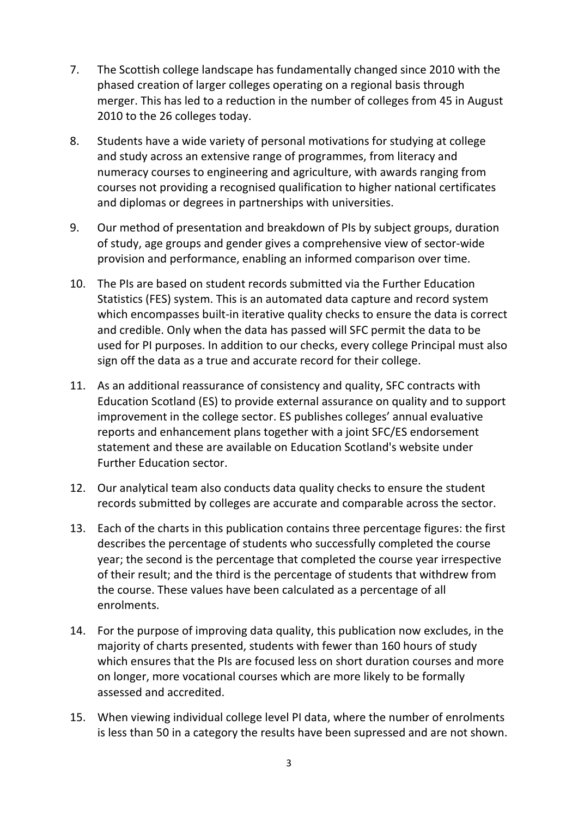- 7. The Scottish college landscape has fundamentally changed since 2010 with the phased creation of larger colleges operating on a regional basis through merger. This has led to a reduction in the number of colleges from 45 in August 2010 to the 26 colleges today.
- 8. Students have a wide variety of personal motivations for studying at college and study across an extensive range of programmes, from literacy and numeracy courses to engineering and agriculture, with awards ranging from courses not providing a recognised qualification to higher national certificates and diplomas or degrees in partnerships with universities.
- 9. Our method of presentation and breakdown of PIs by subject groups, duration of study, age groups and gender gives a comprehensive view of sector-wide provision and performance, enabling an informed comparison over time.
- 10. The PIs are based on student records submitted via the Further Education Statistics (FES) system. This is an automated data capture and record system which encompasses built-in iterative quality checks to ensure the data is correct and credible. Only when the data has passed will SFC permit the data to be used for PI purposes. In addition to our checks, every college Principal must also sign off the data as a true and accurate record for their college.
- 11. As an additional reassurance of consistency and quality, SFC contracts with Education Scotland (ES) to provide external assurance on quality and to support improvement in the college sector. ES publishes colleges' annual evaluative reports and enhancement plans together with a joint SFC/ES endorsement statement and these are available on [Education Scotland's website under](https://education.gov.scot/education-scotland/inspection-reports/)  [Further Education sector.](https://education.gov.scot/education-scotland/inspection-reports/)
- 12. Our analytical team also conducts data quality checks to ensure the student records submitted by colleges are accurate and comparable across the sector.
- 13. Each of the charts in this publication contains three percentage figures: the first describes the percentage of students who successfully completed the course year; the second is the percentage that completed the course year irrespective of their result; and the third is the percentage of students that withdrew from the course. These values have been calculated as a percentage of all enrolments.
- 14. For the purpose of improving data quality, this publication now excludes, in the majority of charts presented, students with fewer than 160 hours of study which ensures that the PIs are focused less on short duration courses and more on longer, more vocational courses which are more likely to be formally assessed and accredited.
- 15. When viewing individual college level PI data, where the number of enrolments is less than 50 in a category the results have been supressed and are not shown.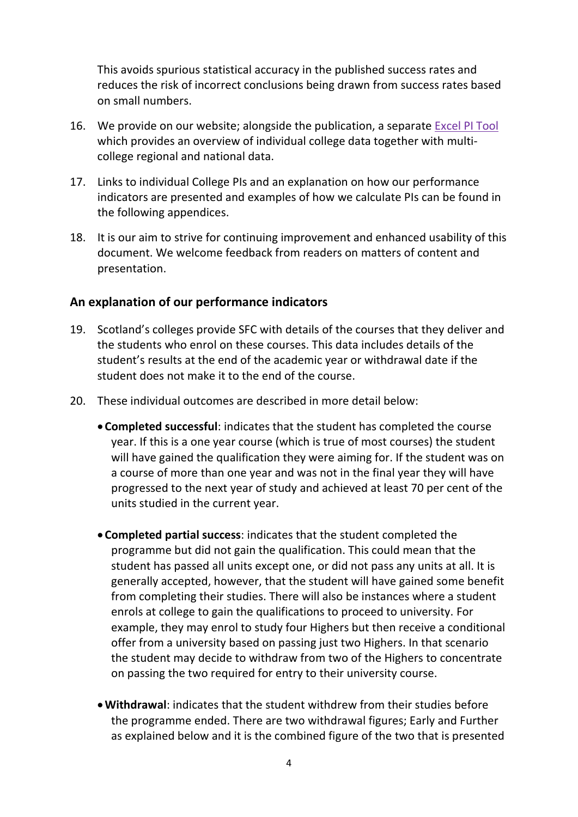This avoids spurious statistical accuracy in the published success rates and reduces the risk of incorrect conclusions being drawn from success rates based on small numbers.

- 16. We provide on our [website;](https://www.sfc.ac.uk/publications-statistics/statistical-publications/2021/SFCST062021.aspx) alongside the publication, a separate [Excel PI Tool](https://www.sfc.ac.uk/publications-statistics/statistical-publications/2022/SFCST032022.aspx) which provides an overview of individual college data together with multicollege regional and national data.
- 17. Links to individual College PIs and an explanation on how our performance indicators are presented and examples of how we calculate PIs can be found in the following appendices.
- 18. It is our aim to strive for continuing improvement and enhanced usability of this document. We welcome feedback from readers on matters of content and presentation.

#### <span id="page-3-0"></span>**An explanation of our performance indicators**

- 19. Scotland's colleges provide SFC with details of the courses that they deliver and the students who enrol on these courses. This data includes details of the student's results at the end of the academic year or withdrawal date if the student does not make it to the end of the course.
- 20. These individual outcomes are described in more detail below:
	- **Completed successful**: indicates that the student has completed the course year. If this is a one year course (which is true of most courses) the student will have gained the qualification they were aiming for. If the student was on a course of more than one year and was not in the final year they will have progressed to the next year of study and achieved at least 70 per cent of the units studied in the current year.
	- **Completed partial success**: indicates that the student completed the programme but did not gain the qualification. This could mean that the student has passed all units except one, or did not pass any units at all. It is generally accepted, however, that the student will have gained some benefit from completing their studies. There will also be instances where a student enrols at college to gain the qualifications to proceed to university. For example, they may enrol to study four Highers but then receive a conditional offer from a university based on passing just two Highers. In that scenario the student may decide to withdraw from two of the Highers to concentrate on passing the two required for entry to their university course.
	- •**Withdrawal**: indicates that the student withdrew from their studies before the programme ended. There are two withdrawal figures; Early and Further as explained below and it is the combined figure of the two that is presented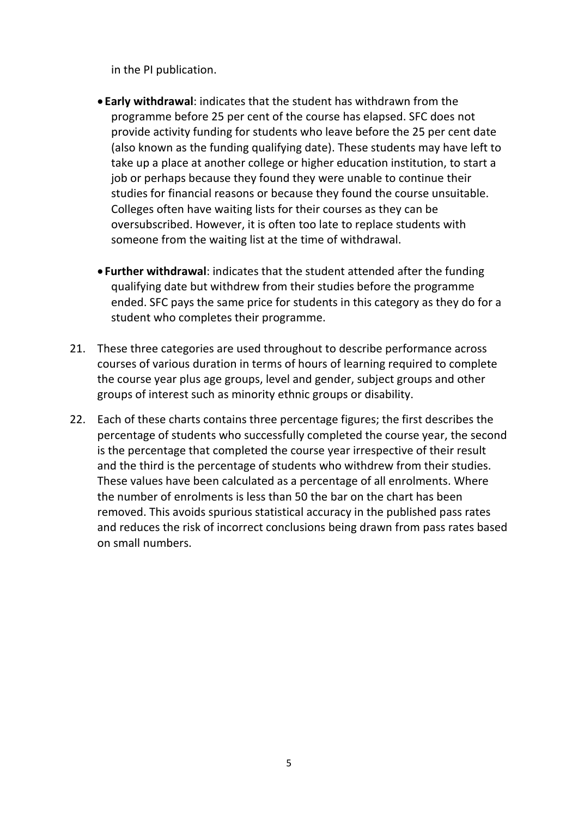in the PI publication.

- **Early withdrawal**: indicates that the student has withdrawn from the programme before 25 per cent of the course has elapsed. SFC does not provide activity funding for students who leave before the 25 per cent date (also known as the funding qualifying date). These students may have left to take up a place at another college or higher education institution, to start a job or perhaps because they found they were unable to continue their studies for financial reasons or because they found the course unsuitable. Colleges often have waiting lists for their courses as they can be oversubscribed. However, it is often too late to replace students with someone from the waiting list at the time of withdrawal.
- **Further withdrawal**: indicates that the student attended after the funding qualifying date but withdrew from their studies before the programme ended. SFC pays the same price for students in this category as they do for a student who completes their programme.
- 21. These three categories are used throughout to describe performance across courses of various duration in terms of hours of learning required to complete the course year plus age groups, level and gender, subject groups and other groups of interest such as minority ethnic groups or disability.
- 22. Each of these charts contains three percentage figures; the first describes the percentage of students who successfully completed the course year, the second is the percentage that completed the course year irrespective of their result and the third is the percentage of students who withdrew from their studies. These values have been calculated as a percentage of all enrolments. Where the number of enrolments is less than 50 the bar on the chart has been removed. This avoids spurious statistical accuracy in the published pass rates and reduces the risk of incorrect conclusions being drawn from pass rates based on small numbers.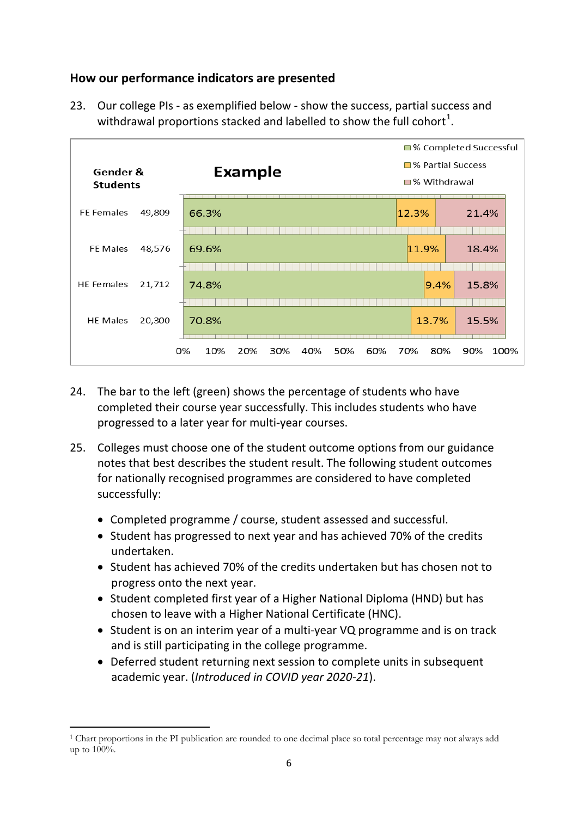### <span id="page-5-0"></span>**How our performance indicators are presented**

23. Our college PIs - as exemplified below - show the success, partial success and withdrawal proportions stacked and labelled to show the full cohort<sup>[1](#page-0-0)</sup>.



- 24. The bar to the left (green) shows the percentage of students who have completed their course year successfully. This includes students who have progressed to a later year for multi-year courses.
- 25. Colleges must choose one of the student outcome options from our guidance notes that best describes the student result. The following student outcomes for nationally recognised programmes are considered to have completed successfully:
	- Completed programme / course, student assessed and successful.
	- Student has progressed to next year and has achieved 70% of the credits undertaken.
	- Student has achieved 70% of the credits undertaken but has chosen not to progress onto the next year.
	- Student completed first year of a Higher National Diploma (HND) but has chosen to leave with a Higher National Certificate (HNC).
	- Student is on an interim year of a multi-year VQ programme and is on track and is still participating in the college programme.
	- Deferred student returning next session to complete units in subsequent academic year. (*Introduced in COVID year 2020-21*).

<sup>.</sup> <sup>1</sup> Chart proportions in the PI publication are rounded to one decimal place so total percentage may not always add up to 100%.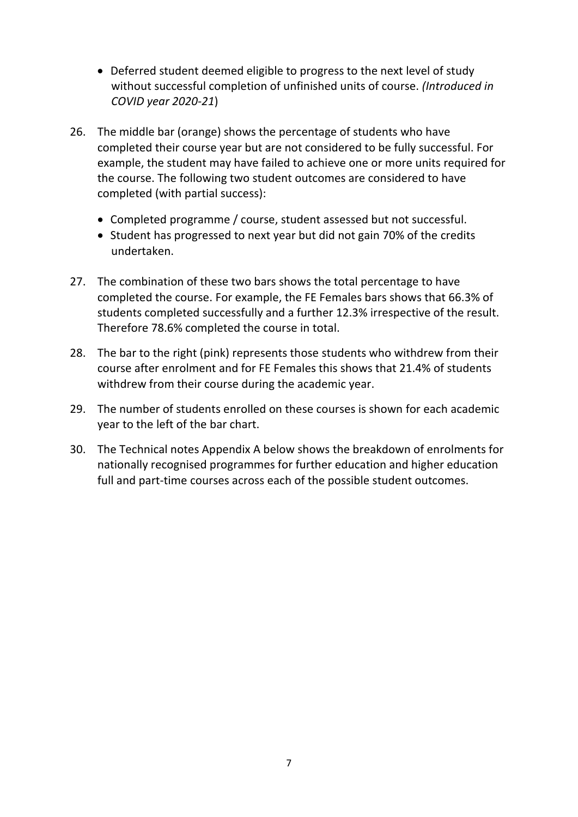- Deferred student deemed eligible to progress to the next level of study without successful completion of unfinished units of course. *(Introduced in COVID year 2020-21*)
- 26. The middle bar (orange) shows the percentage of students who have completed their course year but are not considered to be fully successful. For example, the student may have failed to achieve one or more units required for the course. The following two student outcomes are considered to have completed (with partial success):
	- Completed programme / course, student assessed but not successful.
	- Student has progressed to next year but did not gain 70% of the credits undertaken.
- 27. The combination of these two bars shows the total percentage to have completed the course. For example, the FE Females bars shows that 66.3% of students completed successfully and a further 12.3% irrespective of the result. Therefore 78.6% completed the course in total.
- 28. The bar to the right (pink) represents those students who withdrew from their course after enrolment and for FE Females this shows that 21.4% of students withdrew from their course during the academic year.
- 29. The number of students enrolled on these courses is shown for each academic year to the left of the bar chart.
- 30. The Technical notes Appendix A below shows the breakdown of enrolments for nationally recognised programmes for further education and higher education full and part-time courses across each of the possible student outcomes.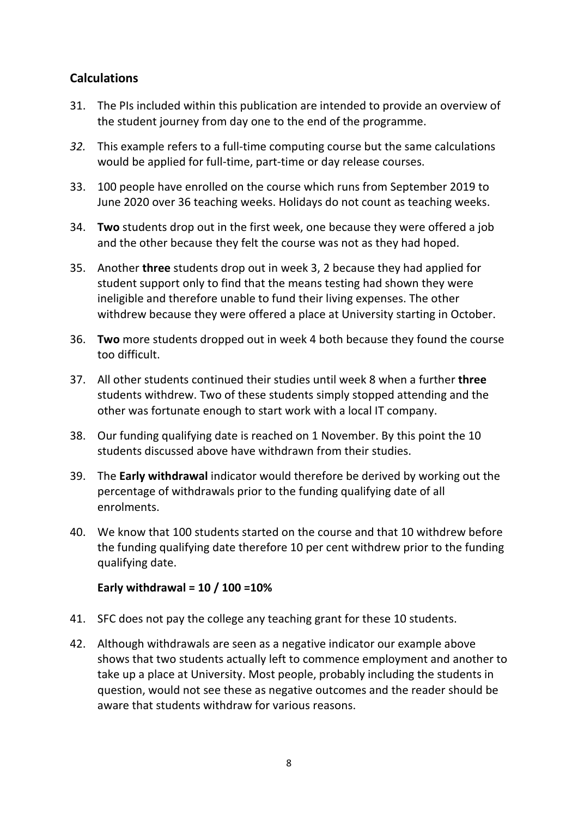### <span id="page-7-0"></span>**Calculations**

- 31. The PIs included within this publication are intended to provide an overview of the student journey from day one to the end of the programme.
- *32.* This example refers to a full-time computing course but the same calculations would be applied for full-time, part-time or day release courses.
- 33. 100 people have enrolled on the course which runs from September 2019 to June 2020 over 36 teaching weeks. Holidays do not count as teaching weeks.
- 34. **Two** students drop out in the first week, one because they were offered a job and the other because they felt the course was not as they had hoped.
- 35. Another **three** students drop out in week 3, 2 because they had applied for student support only to find that the means testing had shown they were ineligible and therefore unable to fund their living expenses. The other withdrew because they were offered a place at University starting in October.
- 36. **Two** more students dropped out in week 4 both because they found the course too difficult.
- 37. All other students continued their studies until week 8 when a further **three**  students withdrew. Two of these students simply stopped attending and the other was fortunate enough to start work with a local IT company.
- 38. Our funding qualifying date is reached on 1 November. By this point the 10 students discussed above have withdrawn from their studies.
- 39. The **Early withdrawal** indicator would therefore be derived by working out the percentage of withdrawals prior to the funding qualifying date of all enrolments.
- 40. We know that 100 students started on the course and that 10 withdrew before the funding qualifying date therefore 10 per cent withdrew prior to the funding qualifying date.

#### **Early withdrawal = 10 / 100 =10%**

- 41. SFC does not pay the college any teaching grant for these 10 students.
- 42. Although withdrawals are seen as a negative indicator our example above shows that two students actually left to commence employment and another to take up a place at University. Most people, probably including the students in question, would not see these as negative outcomes and the reader should be aware that students withdraw for various reasons.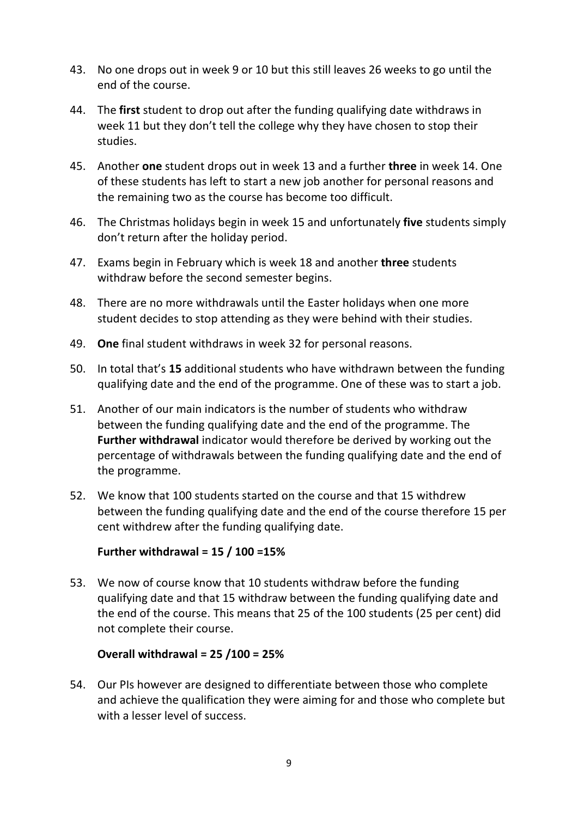- 43. No one drops out in week 9 or 10 but this still leaves 26 weeks to go until the end of the course.
- 44. The **first** student to drop out after the funding qualifying date withdraws in week 11 but they don't tell the college why they have chosen to stop their studies.
- 45. Another **one** student drops out in week 13 and a further **three** in week 14. One of these students has left to start a new job another for personal reasons and the remaining two as the course has become too difficult.
- 46. The Christmas holidays begin in week 15 and unfortunately **five** students simply don't return after the holiday period.
- 47. Exams begin in February which is week 18 and another **three** students withdraw before the second semester begins.
- 48. There are no more withdrawals until the Easter holidays when one more student decides to stop attending as they were behind with their studies.
- 49. **One** final student withdraws in week 32 for personal reasons.
- 50. In total that's **15** additional students who have withdrawn between the funding qualifying date and the end of the programme. One of these was to start a job.
- 51. Another of our main indicators is the number of students who withdraw between the funding qualifying date and the end of the programme. The **Further withdrawal** indicator would therefore be derived by working out the percentage of withdrawals between the funding qualifying date and the end of the programme.
- 52. We know that 100 students started on the course and that 15 withdrew between the funding qualifying date and the end of the course therefore 15 per cent withdrew after the funding qualifying date.

#### **Further withdrawal = 15 / 100 =15%**

53. We now of course know that 10 students withdraw before the funding qualifying date and that 15 withdraw between the funding qualifying date and the end of the course. This means that 25 of the 100 students (25 per cent) did not complete their course.

#### **Overall withdrawal = 25 /100 = 25%**

54. Our PIs however are designed to differentiate between those who complete and achieve the qualification they were aiming for and those who complete but with a lesser level of success.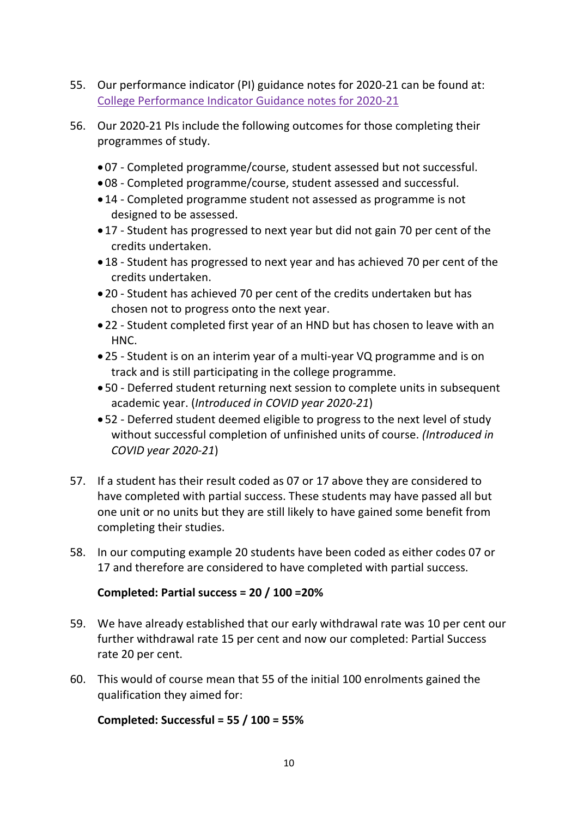- 55. Our performance indicator (PI) guidance notes for 2020-21 can be found at: [College Performance Indicator Guidance](https://www.sfc.ac.uk/publications-statistics/guidance/2021/SFCGD112021.aspx) notes for 2020-21
- 56. Our 2020-21 PIs include the following outcomes for those completing their programmes of study.
	- 07 Completed programme/course, student assessed but not successful.
	- 08 Completed programme/course, student assessed and successful.
	- 14 Completed programme student not assessed as programme is not designed to be assessed.
	- 17 Student has progressed to next year but did not gain 70 per cent of the credits undertaken.
	- 18 Student has progressed to next year and has achieved 70 per cent of the credits undertaken.
	- 20 Student has achieved 70 per cent of the credits undertaken but has chosen not to progress onto the next year.
	- 22 Student completed first year of an HND but has chosen to leave with an HNC.
	- 25 Student is on an interim year of a multi-year VQ programme and is on track and is still participating in the college programme.
	- 50 Deferred student returning next session to complete units in subsequent academic year. (*Introduced in COVID year 2020-21*)
	- 52 Deferred student deemed eligible to progress to the next level of study without successful completion of unfinished units of course. *(Introduced in COVID year 2020-21*)
- 57. If a student has their result coded as 07 or 17 above they are considered to have completed with partial success. These students may have passed all but one unit or no units but they are still likely to have gained some benefit from completing their studies.
- 58. In our computing example 20 students have been coded as either codes 07 or 17 and therefore are considered to have completed with partial success.

#### **Completed: Partial success = 20 / 100 =20%**

- 59. We have already established that our early withdrawal rate was 10 per cent our further withdrawal rate 15 per cent and now our completed: Partial Success rate 20 per cent.
- 60. This would of course mean that 55 of the initial 100 enrolments gained the qualification they aimed for:

#### **Completed: Successful = 55 / 100 = 55%**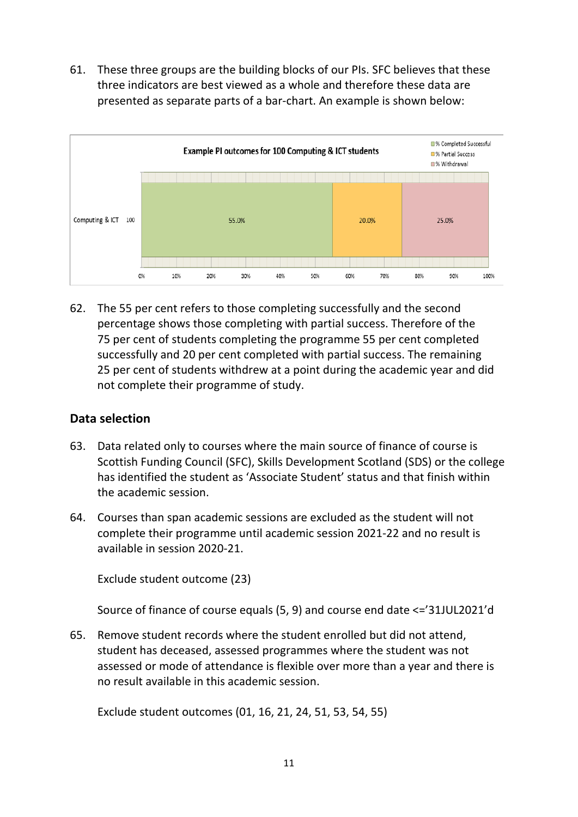61. These three groups are the building blocks of our PIs. SFC believes that these three indicators are best viewed as a whole and therefore these data are presented as separate parts of a bar-chart. An example is shown below:



62. The 55 per cent refers to those completing successfully and the second percentage shows those completing with partial success. Therefore of the 75 per cent of students completing the programme 55 per cent completed successfully and 20 per cent completed with partial success. The remaining 25 per cent of students withdrew at a point during the academic year and did not complete their programme of study.

#### <span id="page-10-0"></span>**Data selection**

- 63. Data related only to courses where the main source of finance of course is Scottish Funding Council (SFC), Skills Development Scotland (SDS) or the college has identified the student as 'Associate Student' status and that finish within the academic session.
- 64. Courses than span academic sessions are excluded as the student will not complete their programme until academic session 2021-22 and no result is available in session 2020-21.

Exclude student outcome (23)

Source of finance of course equals (5, 9) and course end date <='31JUL2021'd

65. Remove student records where the student enrolled but did not attend, student has deceased, assessed programmes where the student was not assessed or mode of attendance is flexible over more than a year and there is no result available in this academic session.

Exclude student outcomes (01, 16, 21, 24, 51, 53, 54, 55)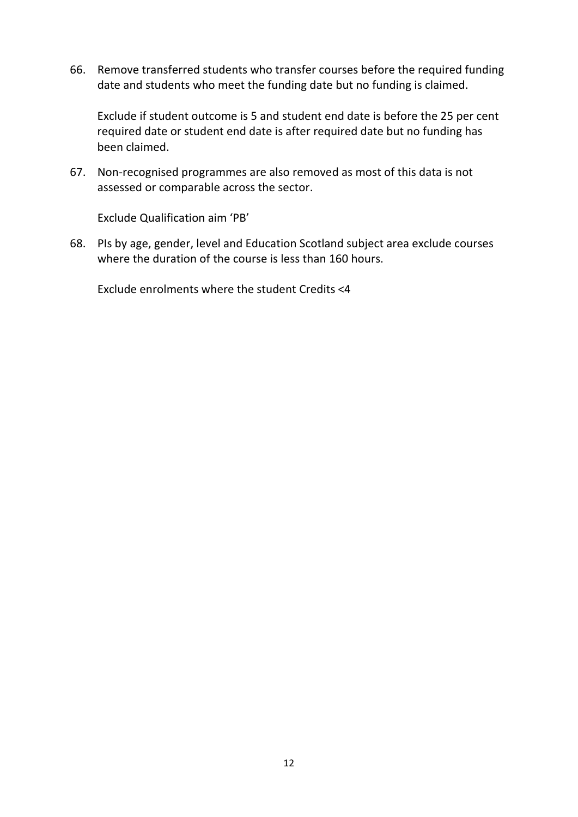66. Remove transferred students who transfer courses before the required funding date and students who meet the funding date but no funding is claimed.

Exclude if student outcome is 5 and student end date is before the 25 per cent required date or student end date is after required date but no funding has been claimed.

67. Non-recognised programmes are also removed as most of this data is not assessed or comparable across the sector.

Exclude Qualification aim 'PB'

68. PIs by age, gender, level and Education Scotland subject area exclude courses where the duration of the course is less than 160 hours.

Exclude enrolments where the student Credits <4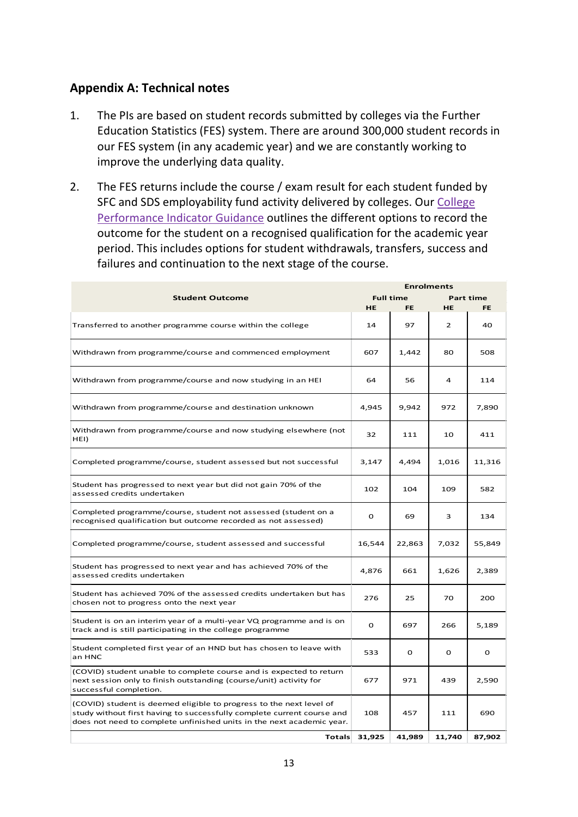### <span id="page-12-0"></span>**Appendix A: Technical notes**

- 1. The PIs are based on student records submitted by colleges via the Further Education Statistics (FES) system. There are around 300,000 student records in our FES system (in any academic year) and we are constantly working to improve the underlying data quality.
- 2. The FES returns include the course / exam result for each student funded by SFC and SDS employability fund activity delivered by colleges. Our College [Performance Indicator Guidance](https://www.sfc.ac.uk/publications-statistics/guidance/2021/SFCGD112021.aspx) outlines the different options to record the outcome for the student on a recognised qualification for the academic year period. This includes options for student withdrawals, transfers, success and failures and continuation to the next stage of the course.

| <b>Enrolments</b>                                                                                                                                                                                                      |               |                  |                |                  |
|------------------------------------------------------------------------------------------------------------------------------------------------------------------------------------------------------------------------|---------------|------------------|----------------|------------------|
| <b>Student Outcome</b>                                                                                                                                                                                                 |               | <b>Full time</b> |                | <b>Part time</b> |
|                                                                                                                                                                                                                        | HE.           | <b>FE</b>        | <b>HE</b>      | <b>FE</b>        |
| Transferred to another programme course within the college                                                                                                                                                             | 14            | 97               | $\overline{2}$ | 40               |
| Withdrawn from programme/course and commenced employment                                                                                                                                                               | 607           | 1,442            | 80             | 508              |
| Withdrawn from programme/course and now studying in an HEI                                                                                                                                                             | 64            | 56               | 4              | 114              |
| Withdrawn from programme/course and destination unknown                                                                                                                                                                | 4,945         | 9,942            | 972            | 7,890            |
| Withdrawn from programme/course and now studying elsewhere (not<br>HEI)                                                                                                                                                | 32            | 111              | 10             | 411              |
| Completed programme/course, student assessed but not successful                                                                                                                                                        | 3,147         | 4,494            | 1,016          | 11,316           |
| Student has progressed to next year but did not gain 70% of the<br>assessed credits undertaken                                                                                                                         | 102           | 104              | 109            | 582              |
| Completed programme/course, student not assessed (student on a<br>recognised qualification but outcome recorded as not assessed)                                                                                       | 0             | 69               | 3              | 134              |
| Completed programme/course, student assessed and successful                                                                                                                                                            | 16,544        | 22,863           | 7,032          | 55,849           |
| Student has progressed to next year and has achieved 70% of the<br>assessed credits undertaken                                                                                                                         | 4,876         | 661              | 1,626          | 2,389            |
| Student has achieved 70% of the assessed credits undertaken but has<br>chosen not to progress onto the next year                                                                                                       | 276           | 25               | 70             | 200              |
| Student is on an interim year of a multi-year VQ programme and is on<br>track and is still participating in the college programme                                                                                      | O             | 697              | 266            | 5,189            |
| Student completed first year of an HND but has chosen to leave with<br>an HNC                                                                                                                                          | 533           | 0                | 0              | 0                |
| (COVID) student unable to complete course and is expected to return<br>next session only to finish outstanding (course/unit) activity for<br>successful completion.                                                    | 677           | 971              | 439            | 2,590            |
| (COVID) student is deemed eligible to progress to the next level of<br>study without first having to successfully complete current course and<br>does not need to complete unfinished units in the next academic year. | 108           | 457              | 111            | 690              |
|                                                                                                                                                                                                                        | Totals 31,925 | 41,989           | 11,740         | 87,902           |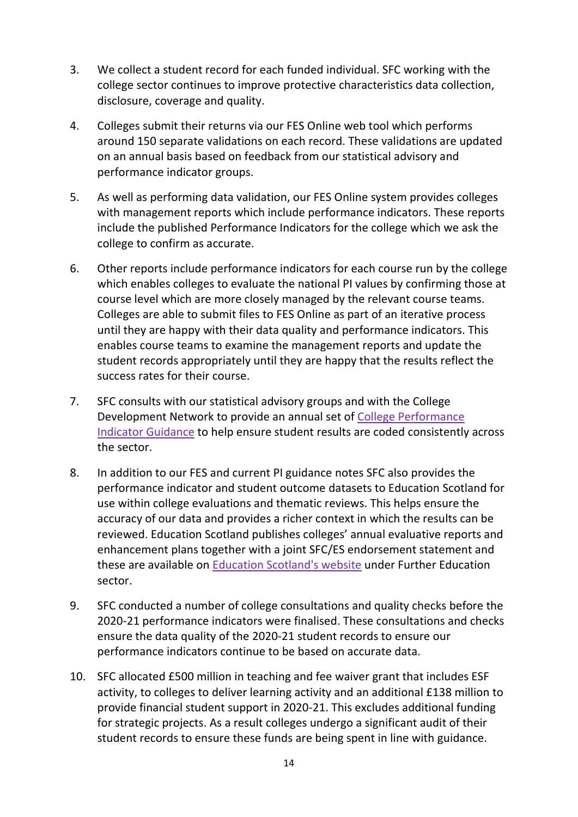- 3. We collect a student record for each funded individual. SFC working with the college sector continues to improve protective characteristics data collection, disclosure, coverage and quality.
- 4. Colleges submit their returns via our FES Online web tool which performs around 150 separate validations on each record. These validations are updated on an annual basis based on feedback from our statistical advisory and performance indicator groups.
- 5. As well as performing data validation, our FES Online system provides colleges with management reports which include performance indicators. These reports include the published Performance Indicators for the college which we ask the college to confirm as accurate.
- 6. Other reports include performance indicators for each course run by the college which enables colleges to evaluate the national PI values by confirming those at course level which are more closely managed by the relevant course teams. Colleges are able to submit files to FES Online as part of an iterative process until they are happy with their data quality and performance indicators. This enables course teams to examine the management reports and update the student records appropriately until they are happy that the results reflect the success rates for their course.
- 7. SFC consults with our statistical advisory groups and with the College Development Network to provide an annual set of [College Performance](https://www.sfc.ac.uk/publications-statistics/guidance/2021/SFCGD112021.aspx)  [Indicator Guidance](https://www.sfc.ac.uk/publications-statistics/guidance/2021/SFCGD112021.aspx) to help ensure student results are coded consistently across the sector.
- 8. In addition to our FES and current PI guidance notes SFC also provides the performance indicator and student outcome datasets to Education Scotland for use within college evaluations and thematic reviews. This helps ensure the accuracy of our data and provides a richer context in which the results can be reviewed. Education Scotland publishes colleges' annual evaluative reports and enhancement plans together with a joint SFC/ES endorsement statement and these are available on [Education Scotland's website](https://education.gov.scot/education-scotland/inspection-reports/) under Further Education sector.
- 9. SFC conducted a number of college consultations and quality checks before the 2020-21 performance indicators were finalised. These consultations and checks ensure the data quality of the 2020-21 student records to ensure our performance indicators continue to be based on accurate data.
- 10. SFC allocated £500 million in teaching and fee waiver grant that includes ESF activity, to colleges to deliver learning activity and an additional £138 million to provide financial student support in 2020-21. This excludes additional funding for strategic projects. As a result colleges undergo a significant audit of their student records to ensure these funds are being spent in line with guidance.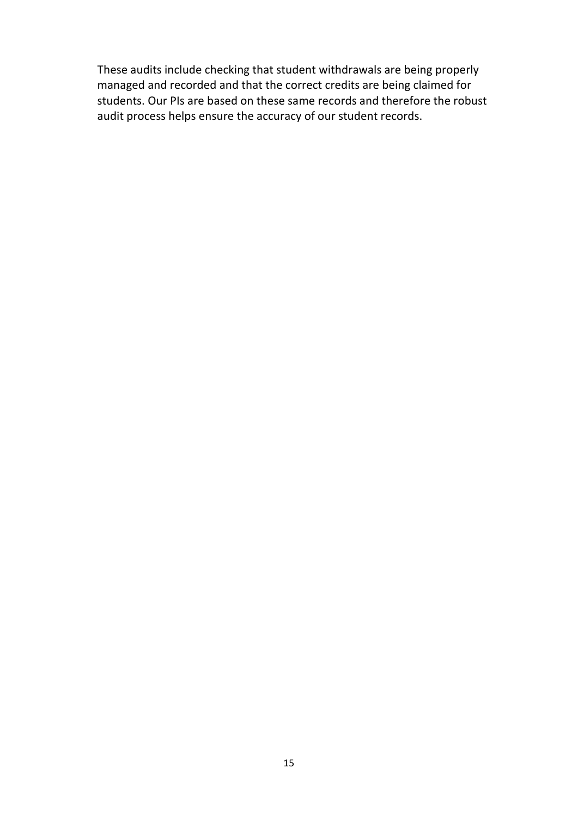These audits include checking that student withdrawals are being properly managed and recorded and that the correct credits are being claimed for students. Our PIs are based on these same records and therefore the robust audit process helps ensure the accuracy of our student records.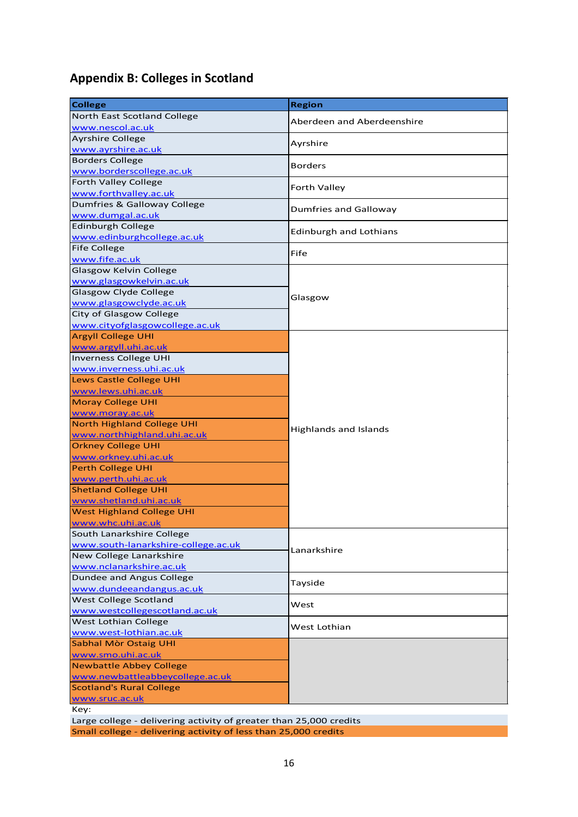# <span id="page-15-0"></span>**Appendix B: Colleges in Scotland**

| North East Scotland College<br>Aberdeen and Aberdeenshire<br>www.nescol.ac.uk<br><b>Ayrshire College</b><br>Ayrshire<br>www.ayrshire.ac.uk<br><b>Borders College</b><br><b>Borders</b><br>www.borderscollege.ac.uk<br><b>Forth Valley College</b><br>Forth Valley<br>www.forthvalley.ac.uk<br>Dumfries & Galloway College<br><b>Dumfries and Galloway</b><br>www.dumgal.ac.uk<br><b>Edinburgh College</b><br><b>Edinburgh and Lothians</b><br>www.edinburghcollege.ac.uk<br><b>Fife College</b><br>Fife<br>www.fife.ac.uk<br>Glasgow Kelvin College<br>www.glasgowkelvin.ac.uk<br>Glasgow Clyde College<br>Glasgow<br>www.glasgowclyde.ac.uk<br><b>City of Glasgow College</b><br>www.cityofglasgowcollege.ac.uk<br><b>Argyll College UHI</b><br>www.argyll.uhi.ac.uk<br>Inverness College UHI<br>www.inverness.uhi.ac.uk<br>Lews Castle College UHI<br>www.lews.uhi.ac.uk<br><b>Moray College UHI</b><br>www.moray.ac.uk<br><b>North Highland College UHI</b><br><b>Highlands and Islands</b><br>www.northhighland.uhi.ac.uk<br><b>Orkney College UHI</b><br>www.orkney.uhi.ac.uk<br><b>Perth College UHI</b><br>www.perth.uhi.ac.uk<br><b>Shetland College UHI</b><br>www.shetland.uhi.ac.uk<br><b>West Highland College UHI</b><br>www.whc.uhi.ac.uk<br>South Lanarkshire College<br>www.south-lanarkshire-college.ac.uk<br>Lanarkshire<br>New College Lanarkshire<br>www.nclanarkshire.ac.uk<br>Dundee and Angus College<br>Tayside<br>www.dundeeandangus.ac.uk<br>West College Scotland<br>West<br>www.westcollegescotland.ac.uk<br>West Lothian College<br>West Lothian<br>www.west-lothian.ac.uk<br>Sabhal Mòr Ostaig UHI<br>www.smo.uhi.ac.uk<br><b>Newbattle Abbey College</b><br>www.newbattleabbeycollege.ac.uk<br><b>Scotland's Rural College</b><br>www.sruc.ac.uk | <b>College</b> | <b>Region</b> |
|---------------------------------------------------------------------------------------------------------------------------------------------------------------------------------------------------------------------------------------------------------------------------------------------------------------------------------------------------------------------------------------------------------------------------------------------------------------------------------------------------------------------------------------------------------------------------------------------------------------------------------------------------------------------------------------------------------------------------------------------------------------------------------------------------------------------------------------------------------------------------------------------------------------------------------------------------------------------------------------------------------------------------------------------------------------------------------------------------------------------------------------------------------------------------------------------------------------------------------------------------------------------------------------------------------------------------------------------------------------------------------------------------------------------------------------------------------------------------------------------------------------------------------------------------------------------------------------------------------------------------------------------------------------------------------------------------------------------------------------------------------------------------------|----------------|---------------|
|                                                                                                                                                                                                                                                                                                                                                                                                                                                                                                                                                                                                                                                                                                                                                                                                                                                                                                                                                                                                                                                                                                                                                                                                                                                                                                                                                                                                                                                                                                                                                                                                                                                                                                                                                                                 |                |               |
|                                                                                                                                                                                                                                                                                                                                                                                                                                                                                                                                                                                                                                                                                                                                                                                                                                                                                                                                                                                                                                                                                                                                                                                                                                                                                                                                                                                                                                                                                                                                                                                                                                                                                                                                                                                 |                |               |
|                                                                                                                                                                                                                                                                                                                                                                                                                                                                                                                                                                                                                                                                                                                                                                                                                                                                                                                                                                                                                                                                                                                                                                                                                                                                                                                                                                                                                                                                                                                                                                                                                                                                                                                                                                                 |                |               |
|                                                                                                                                                                                                                                                                                                                                                                                                                                                                                                                                                                                                                                                                                                                                                                                                                                                                                                                                                                                                                                                                                                                                                                                                                                                                                                                                                                                                                                                                                                                                                                                                                                                                                                                                                                                 |                |               |
|                                                                                                                                                                                                                                                                                                                                                                                                                                                                                                                                                                                                                                                                                                                                                                                                                                                                                                                                                                                                                                                                                                                                                                                                                                                                                                                                                                                                                                                                                                                                                                                                                                                                                                                                                                                 |                |               |
|                                                                                                                                                                                                                                                                                                                                                                                                                                                                                                                                                                                                                                                                                                                                                                                                                                                                                                                                                                                                                                                                                                                                                                                                                                                                                                                                                                                                                                                                                                                                                                                                                                                                                                                                                                                 |                |               |
|                                                                                                                                                                                                                                                                                                                                                                                                                                                                                                                                                                                                                                                                                                                                                                                                                                                                                                                                                                                                                                                                                                                                                                                                                                                                                                                                                                                                                                                                                                                                                                                                                                                                                                                                                                                 |                |               |
|                                                                                                                                                                                                                                                                                                                                                                                                                                                                                                                                                                                                                                                                                                                                                                                                                                                                                                                                                                                                                                                                                                                                                                                                                                                                                                                                                                                                                                                                                                                                                                                                                                                                                                                                                                                 |                |               |
|                                                                                                                                                                                                                                                                                                                                                                                                                                                                                                                                                                                                                                                                                                                                                                                                                                                                                                                                                                                                                                                                                                                                                                                                                                                                                                                                                                                                                                                                                                                                                                                                                                                                                                                                                                                 |                |               |
|                                                                                                                                                                                                                                                                                                                                                                                                                                                                                                                                                                                                                                                                                                                                                                                                                                                                                                                                                                                                                                                                                                                                                                                                                                                                                                                                                                                                                                                                                                                                                                                                                                                                                                                                                                                 |                |               |
|                                                                                                                                                                                                                                                                                                                                                                                                                                                                                                                                                                                                                                                                                                                                                                                                                                                                                                                                                                                                                                                                                                                                                                                                                                                                                                                                                                                                                                                                                                                                                                                                                                                                                                                                                                                 |                |               |
|                                                                                                                                                                                                                                                                                                                                                                                                                                                                                                                                                                                                                                                                                                                                                                                                                                                                                                                                                                                                                                                                                                                                                                                                                                                                                                                                                                                                                                                                                                                                                                                                                                                                                                                                                                                 |                |               |
|                                                                                                                                                                                                                                                                                                                                                                                                                                                                                                                                                                                                                                                                                                                                                                                                                                                                                                                                                                                                                                                                                                                                                                                                                                                                                                                                                                                                                                                                                                                                                                                                                                                                                                                                                                                 |                |               |
|                                                                                                                                                                                                                                                                                                                                                                                                                                                                                                                                                                                                                                                                                                                                                                                                                                                                                                                                                                                                                                                                                                                                                                                                                                                                                                                                                                                                                                                                                                                                                                                                                                                                                                                                                                                 |                |               |
|                                                                                                                                                                                                                                                                                                                                                                                                                                                                                                                                                                                                                                                                                                                                                                                                                                                                                                                                                                                                                                                                                                                                                                                                                                                                                                                                                                                                                                                                                                                                                                                                                                                                                                                                                                                 |                |               |
|                                                                                                                                                                                                                                                                                                                                                                                                                                                                                                                                                                                                                                                                                                                                                                                                                                                                                                                                                                                                                                                                                                                                                                                                                                                                                                                                                                                                                                                                                                                                                                                                                                                                                                                                                                                 |                |               |
|                                                                                                                                                                                                                                                                                                                                                                                                                                                                                                                                                                                                                                                                                                                                                                                                                                                                                                                                                                                                                                                                                                                                                                                                                                                                                                                                                                                                                                                                                                                                                                                                                                                                                                                                                                                 |                |               |
|                                                                                                                                                                                                                                                                                                                                                                                                                                                                                                                                                                                                                                                                                                                                                                                                                                                                                                                                                                                                                                                                                                                                                                                                                                                                                                                                                                                                                                                                                                                                                                                                                                                                                                                                                                                 |                |               |
|                                                                                                                                                                                                                                                                                                                                                                                                                                                                                                                                                                                                                                                                                                                                                                                                                                                                                                                                                                                                                                                                                                                                                                                                                                                                                                                                                                                                                                                                                                                                                                                                                                                                                                                                                                                 |                |               |
|                                                                                                                                                                                                                                                                                                                                                                                                                                                                                                                                                                                                                                                                                                                                                                                                                                                                                                                                                                                                                                                                                                                                                                                                                                                                                                                                                                                                                                                                                                                                                                                                                                                                                                                                                                                 |                |               |
|                                                                                                                                                                                                                                                                                                                                                                                                                                                                                                                                                                                                                                                                                                                                                                                                                                                                                                                                                                                                                                                                                                                                                                                                                                                                                                                                                                                                                                                                                                                                                                                                                                                                                                                                                                                 |                |               |
|                                                                                                                                                                                                                                                                                                                                                                                                                                                                                                                                                                                                                                                                                                                                                                                                                                                                                                                                                                                                                                                                                                                                                                                                                                                                                                                                                                                                                                                                                                                                                                                                                                                                                                                                                                                 |                |               |
|                                                                                                                                                                                                                                                                                                                                                                                                                                                                                                                                                                                                                                                                                                                                                                                                                                                                                                                                                                                                                                                                                                                                                                                                                                                                                                                                                                                                                                                                                                                                                                                                                                                                                                                                                                                 |                |               |
|                                                                                                                                                                                                                                                                                                                                                                                                                                                                                                                                                                                                                                                                                                                                                                                                                                                                                                                                                                                                                                                                                                                                                                                                                                                                                                                                                                                                                                                                                                                                                                                                                                                                                                                                                                                 |                |               |
|                                                                                                                                                                                                                                                                                                                                                                                                                                                                                                                                                                                                                                                                                                                                                                                                                                                                                                                                                                                                                                                                                                                                                                                                                                                                                                                                                                                                                                                                                                                                                                                                                                                                                                                                                                                 |                |               |
|                                                                                                                                                                                                                                                                                                                                                                                                                                                                                                                                                                                                                                                                                                                                                                                                                                                                                                                                                                                                                                                                                                                                                                                                                                                                                                                                                                                                                                                                                                                                                                                                                                                                                                                                                                                 |                |               |
|                                                                                                                                                                                                                                                                                                                                                                                                                                                                                                                                                                                                                                                                                                                                                                                                                                                                                                                                                                                                                                                                                                                                                                                                                                                                                                                                                                                                                                                                                                                                                                                                                                                                                                                                                                                 |                |               |
|                                                                                                                                                                                                                                                                                                                                                                                                                                                                                                                                                                                                                                                                                                                                                                                                                                                                                                                                                                                                                                                                                                                                                                                                                                                                                                                                                                                                                                                                                                                                                                                                                                                                                                                                                                                 |                |               |
|                                                                                                                                                                                                                                                                                                                                                                                                                                                                                                                                                                                                                                                                                                                                                                                                                                                                                                                                                                                                                                                                                                                                                                                                                                                                                                                                                                                                                                                                                                                                                                                                                                                                                                                                                                                 |                |               |
|                                                                                                                                                                                                                                                                                                                                                                                                                                                                                                                                                                                                                                                                                                                                                                                                                                                                                                                                                                                                                                                                                                                                                                                                                                                                                                                                                                                                                                                                                                                                                                                                                                                                                                                                                                                 |                |               |
|                                                                                                                                                                                                                                                                                                                                                                                                                                                                                                                                                                                                                                                                                                                                                                                                                                                                                                                                                                                                                                                                                                                                                                                                                                                                                                                                                                                                                                                                                                                                                                                                                                                                                                                                                                                 |                |               |
|                                                                                                                                                                                                                                                                                                                                                                                                                                                                                                                                                                                                                                                                                                                                                                                                                                                                                                                                                                                                                                                                                                                                                                                                                                                                                                                                                                                                                                                                                                                                                                                                                                                                                                                                                                                 |                |               |
|                                                                                                                                                                                                                                                                                                                                                                                                                                                                                                                                                                                                                                                                                                                                                                                                                                                                                                                                                                                                                                                                                                                                                                                                                                                                                                                                                                                                                                                                                                                                                                                                                                                                                                                                                                                 |                |               |
|                                                                                                                                                                                                                                                                                                                                                                                                                                                                                                                                                                                                                                                                                                                                                                                                                                                                                                                                                                                                                                                                                                                                                                                                                                                                                                                                                                                                                                                                                                                                                                                                                                                                                                                                                                                 |                |               |
|                                                                                                                                                                                                                                                                                                                                                                                                                                                                                                                                                                                                                                                                                                                                                                                                                                                                                                                                                                                                                                                                                                                                                                                                                                                                                                                                                                                                                                                                                                                                                                                                                                                                                                                                                                                 |                |               |
|                                                                                                                                                                                                                                                                                                                                                                                                                                                                                                                                                                                                                                                                                                                                                                                                                                                                                                                                                                                                                                                                                                                                                                                                                                                                                                                                                                                                                                                                                                                                                                                                                                                                                                                                                                                 |                |               |
|                                                                                                                                                                                                                                                                                                                                                                                                                                                                                                                                                                                                                                                                                                                                                                                                                                                                                                                                                                                                                                                                                                                                                                                                                                                                                                                                                                                                                                                                                                                                                                                                                                                                                                                                                                                 |                |               |
|                                                                                                                                                                                                                                                                                                                                                                                                                                                                                                                                                                                                                                                                                                                                                                                                                                                                                                                                                                                                                                                                                                                                                                                                                                                                                                                                                                                                                                                                                                                                                                                                                                                                                                                                                                                 |                |               |
|                                                                                                                                                                                                                                                                                                                                                                                                                                                                                                                                                                                                                                                                                                                                                                                                                                                                                                                                                                                                                                                                                                                                                                                                                                                                                                                                                                                                                                                                                                                                                                                                                                                                                                                                                                                 |                |               |
|                                                                                                                                                                                                                                                                                                                                                                                                                                                                                                                                                                                                                                                                                                                                                                                                                                                                                                                                                                                                                                                                                                                                                                                                                                                                                                                                                                                                                                                                                                                                                                                                                                                                                                                                                                                 |                |               |
|                                                                                                                                                                                                                                                                                                                                                                                                                                                                                                                                                                                                                                                                                                                                                                                                                                                                                                                                                                                                                                                                                                                                                                                                                                                                                                                                                                                                                                                                                                                                                                                                                                                                                                                                                                                 |                |               |
|                                                                                                                                                                                                                                                                                                                                                                                                                                                                                                                                                                                                                                                                                                                                                                                                                                                                                                                                                                                                                                                                                                                                                                                                                                                                                                                                                                                                                                                                                                                                                                                                                                                                                                                                                                                 |                |               |
|                                                                                                                                                                                                                                                                                                                                                                                                                                                                                                                                                                                                                                                                                                                                                                                                                                                                                                                                                                                                                                                                                                                                                                                                                                                                                                                                                                                                                                                                                                                                                                                                                                                                                                                                                                                 |                |               |
|                                                                                                                                                                                                                                                                                                                                                                                                                                                                                                                                                                                                                                                                                                                                                                                                                                                                                                                                                                                                                                                                                                                                                                                                                                                                                                                                                                                                                                                                                                                                                                                                                                                                                                                                                                                 |                |               |
|                                                                                                                                                                                                                                                                                                                                                                                                                                                                                                                                                                                                                                                                                                                                                                                                                                                                                                                                                                                                                                                                                                                                                                                                                                                                                                                                                                                                                                                                                                                                                                                                                                                                                                                                                                                 |                |               |
|                                                                                                                                                                                                                                                                                                                                                                                                                                                                                                                                                                                                                                                                                                                                                                                                                                                                                                                                                                                                                                                                                                                                                                                                                                                                                                                                                                                                                                                                                                                                                                                                                                                                                                                                                                                 |                |               |
|                                                                                                                                                                                                                                                                                                                                                                                                                                                                                                                                                                                                                                                                                                                                                                                                                                                                                                                                                                                                                                                                                                                                                                                                                                                                                                                                                                                                                                                                                                                                                                                                                                                                                                                                                                                 |                |               |
|                                                                                                                                                                                                                                                                                                                                                                                                                                                                                                                                                                                                                                                                                                                                                                                                                                                                                                                                                                                                                                                                                                                                                                                                                                                                                                                                                                                                                                                                                                                                                                                                                                                                                                                                                                                 |                |               |
|                                                                                                                                                                                                                                                                                                                                                                                                                                                                                                                                                                                                                                                                                                                                                                                                                                                                                                                                                                                                                                                                                                                                                                                                                                                                                                                                                                                                                                                                                                                                                                                                                                                                                                                                                                                 |                |               |
|                                                                                                                                                                                                                                                                                                                                                                                                                                                                                                                                                                                                                                                                                                                                                                                                                                                                                                                                                                                                                                                                                                                                                                                                                                                                                                                                                                                                                                                                                                                                                                                                                                                                                                                                                                                 |                |               |
|                                                                                                                                                                                                                                                                                                                                                                                                                                                                                                                                                                                                                                                                                                                                                                                                                                                                                                                                                                                                                                                                                                                                                                                                                                                                                                                                                                                                                                                                                                                                                                                                                                                                                                                                                                                 |                |               |
|                                                                                                                                                                                                                                                                                                                                                                                                                                                                                                                                                                                                                                                                                                                                                                                                                                                                                                                                                                                                                                                                                                                                                                                                                                                                                                                                                                                                                                                                                                                                                                                                                                                                                                                                                                                 |                |               |
| Key:                                                                                                                                                                                                                                                                                                                                                                                                                                                                                                                                                                                                                                                                                                                                                                                                                                                                                                                                                                                                                                                                                                                                                                                                                                                                                                                                                                                                                                                                                                                                                                                                                                                                                                                                                                            |                |               |

Large college - delivering activity of greater than 25,000 credits Small college - delivering activity of less than 25,000 credits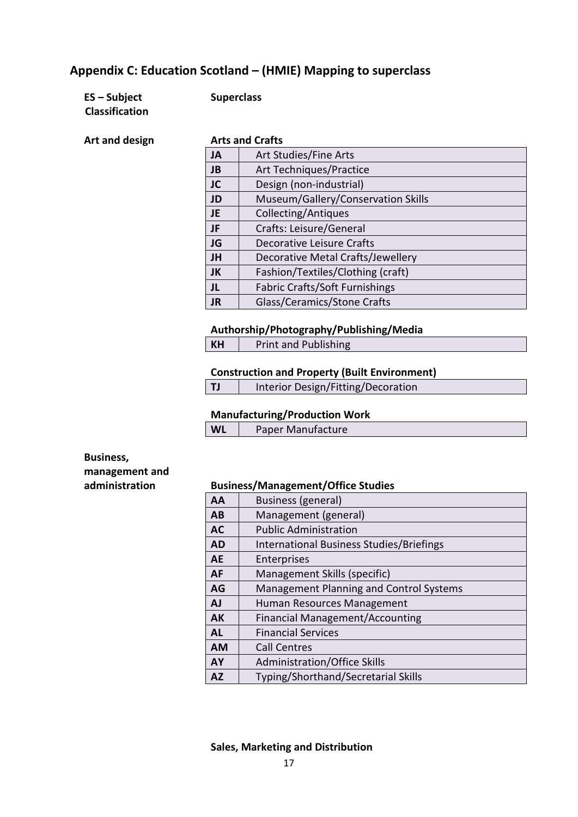### <span id="page-16-0"></span>**Appendix C: Education Scotland – (HMIE) Mapping to superclass**

| $ES - Subject$        |
|-----------------------|
| <b>Classification</b> |

#### **ES – Subject Superclass**

**Art and design** 

|  | <b>Arts and Crafts</b> |
|--|------------------------|
|  |                        |

|           | ALIS dilu Cidils                   |  |  |
|-----------|------------------------------------|--|--|
| <b>JA</b> | Art Studies/Fine Arts              |  |  |
| <b>JB</b> | <b>Art Techniques/Practice</b>     |  |  |
| <b>JC</b> | Design (non-industrial)            |  |  |
| <b>JD</b> | Museum/Gallery/Conservation Skills |  |  |
| JE.       | Collecting/Antiques                |  |  |
| JF        | Crafts: Leisure/General            |  |  |
| <b>JG</b> | <b>Decorative Leisure Crafts</b>   |  |  |
| JH        | Decorative Metal Crafts/Jewellery  |  |  |
| JK        | Fashion/Textiles/Clothing (craft)  |  |  |
| JL        | Fabric Crafts/Soft Furnishings     |  |  |
| <b>JR</b> | Glass/Ceramics/Stone Crafts        |  |  |
|           |                                    |  |  |

#### **Authorship/Photography/Publishing/Media**

| KH | <b>Print and Publishing</b> |
|----|-----------------------------|
|----|-----------------------------|

#### **Construction and Property (Built Environment)**

| TJ | Interior Design/Fitting/Decoration |
|----|------------------------------------|
|    |                                    |

#### **Manufacturing/Production Work**

| <b>WL</b> | <b>Paper Manufacture</b> |  |
|-----------|--------------------------|--|
|           |                          |  |

**Business, management and** 

#### **administration Business/Management/Office Studies**

| AA        | <b>Business (general)</b>                |
|-----------|------------------------------------------|
| AB        | Management (general)                     |
| <b>AC</b> | <b>Public Administration</b>             |
| <b>AD</b> | International Business Studies/Briefings |
| <b>AE</b> | Enterprises                              |
| AF        | Management Skills (specific)             |
| AG        | Management Planning and Control Systems  |
| <b>AJ</b> | Human Resources Management               |
| <b>AK</b> | Financial Management/Accounting          |
| <b>AL</b> | <b>Financial Services</b>                |
| <b>AM</b> | <b>Call Centres</b>                      |
| <b>AY</b> | Administration/Office Skills             |
| <b>AZ</b> | Typing/Shorthand/Secretarial Skills      |

#### **Sales, Marketing and Distribution**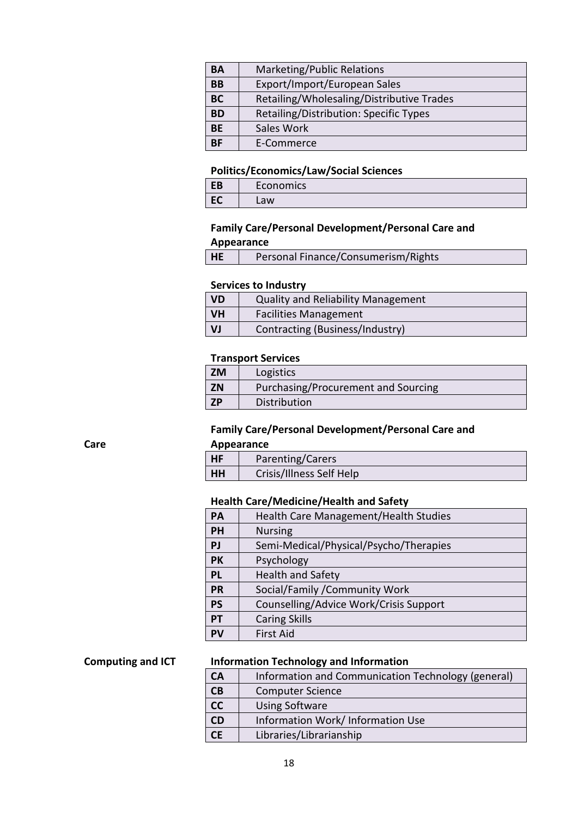| BA        | Marketing/Public Relations                |
|-----------|-------------------------------------------|
| BB        | Export/Import/European Sales              |
| <b>BC</b> | Retailing/Wholesaling/Distributive Trades |
| BD        | Retailing/Distribution: Specific Types    |
| <b>BE</b> | Sales Work                                |
| ΒF        | E-Commerce                                |

#### **Politics/Economics/Law/Social Sciences**

| со<br><b>LD</b> | Economics |
|-----------------|-----------|
|                 | ∟aw       |

#### **Family Care/Personal Development/Personal Care and Appearance**

| HE<br>Personal Finance/Consumerism/Rights |  |
|-------------------------------------------|--|
|-------------------------------------------|--|

#### **Services to Industry**

| <b>VD</b> | <b>Quality and Reliability Management</b> |
|-----------|-------------------------------------------|
| <b>VH</b> | <b>Facilities Management</b>              |
| VJ        | Contracting (Business/Industry)           |

#### **Transport Services**

| <b>ZM</b> | Logistics                           |
|-----------|-------------------------------------|
| <b>ZN</b> | Purchasing/Procurement and Sourcing |
| <b>ZP</b> | Distribution                        |

#### **Family Care/Personal Development/Personal Care and**

#### **Appearance**

| <b>HF</b> | Parenting/Carers         |
|-----------|--------------------------|
| HH        | Crisis/Illness Self Help |

#### **Health Care/Medicine/Health and Safety**

| <b>PA</b> | Health Care Management/Health Studies  |
|-----------|----------------------------------------|
| <b>PH</b> | <b>Nursing</b>                         |
| <b>PJ</b> | Semi-Medical/Physical/Psycho/Therapies |
| <b>PK</b> | Psychology                             |
| <b>PL</b> | <b>Health and Safety</b>               |
| <b>PR</b> | Social/Family /Community Work          |
| <b>PS</b> | Counselling/Advice Work/Crisis Support |
| <b>PT</b> | <b>Caring Skills</b>                   |
| PV        | <b>First Aid</b>                       |

#### **Computing and ICT Information Technology and Information**

| <b>CA</b>       | Information and Communication Technology (general) |
|-----------------|----------------------------------------------------|
| CB              | <b>Computer Science</b>                            |
| $\overline{cc}$ | <b>Using Software</b>                              |
| <b>CD</b>       | Information Work/ Information Use                  |
|                 | Libraries/Librarianship                            |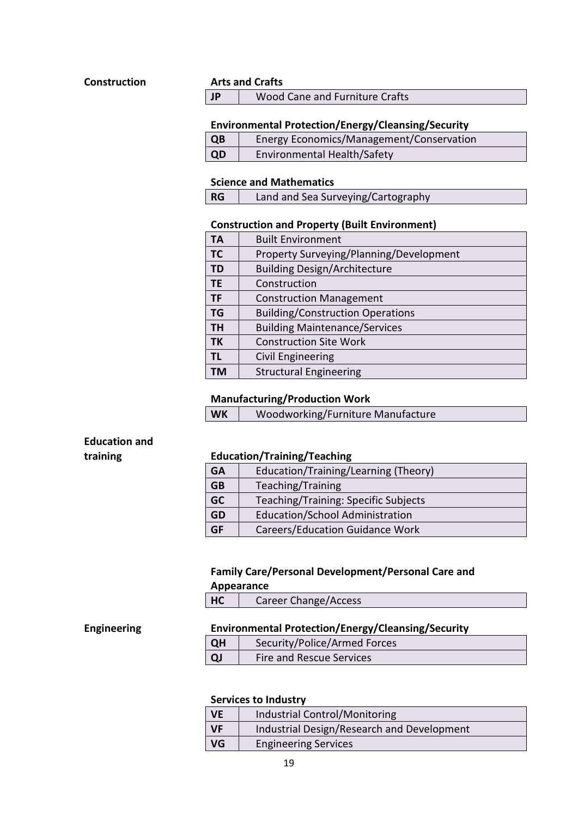#### **Construction Arts and Crafts**

| JP | Wood Cane and Furniture Crafts |
|----|--------------------------------|
|----|--------------------------------|

#### **Environmental Protection/Energy/Cleansing/Security**

| QB | <b>Energy Economics/Management/Conservation</b> |
|----|-------------------------------------------------|
| QD | <b>Environmental Health/Safety</b>              |

#### **Science and Mathematics**

## **Construction and Property (Built Environment)**

| ΤА        | <b>Built Environment</b>                |
|-----------|-----------------------------------------|
| <b>TC</b> | Property Surveying/Planning/Development |
| <b>TD</b> | <b>Building Design/Architecture</b>     |
| <b>TE</b> | Construction                            |
| <b>TF</b> | <b>Construction Management</b>          |
| <b>TG</b> | <b>Building/Construction Operations</b> |
| <b>TH</b> | <b>Building Maintenance/Services</b>    |
| <b>TK</b> | <b>Construction Site Work</b>           |
| ΤL        | Civil Engineering                       |
| ΤМ        | <b>Structural Engineering</b>           |

#### **Manufacturing/Production Work**

| <b>WK</b> | Woodworking/Furniture Manufacture |
|-----------|-----------------------------------|
|-----------|-----------------------------------|

# **Education and**

#### **training Education/Training/Teaching**

| <b>GA</b> | Education/Training/Learning (Theory)   |
|-----------|----------------------------------------|
| <b>GB</b> | Teaching/Training                      |
| GC        | Teaching/Training: Specific Subjects   |
| <b>GD</b> | <b>Education/School Administration</b> |
| <b>GF</b> | <b>Careers/Education Guidance Work</b> |

#### **Family Care/Personal Development/Personal Care and**

#### **Appearance**

| HC | <b>Career Change/Access</b> |
|----|-----------------------------|
|    |                             |

#### **Engineering Environmental Protection/Energy/Cleansing/Security**

| <b>QH</b> | Security/Police/Armed Forces |
|-----------|------------------------------|
|           | Fire and Rescue Services     |

#### **Services to Industry**

| <b>VE</b> | Industrial Control/Monitoring              |
|-----------|--------------------------------------------|
| <b>VF</b> | Industrial Design/Research and Development |
| <b>VG</b> | <b>Engineering Services</b>                |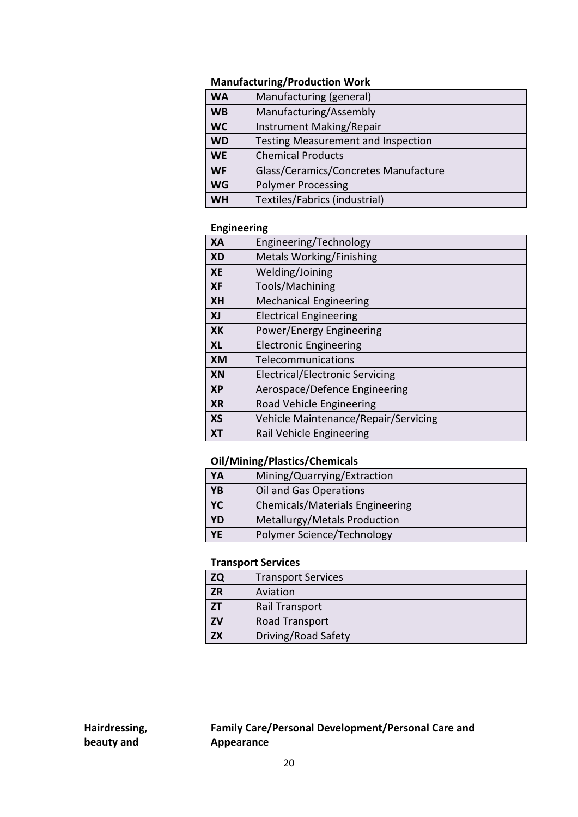#### **Manufacturing/Production Work**

| <b>WA</b> | Manufacturing (general)                   |
|-----------|-------------------------------------------|
| <b>WB</b> | Manufacturing/Assembly                    |
| <b>WC</b> | Instrument Making/Repair                  |
| <b>WD</b> | <b>Testing Measurement and Inspection</b> |
| <b>WE</b> | <b>Chemical Products</b>                  |
| <b>WF</b> | Glass/Ceramics/Concretes Manufacture      |
| <b>WG</b> | <b>Polymer Processing</b>                 |
| <b>WH</b> | Textiles/Fabrics (industrial)             |

#### **Engineering**

| <b>XA</b> | Engineering/Technology                 |
|-----------|----------------------------------------|
| <b>XD</b> | <b>Metals Working/Finishing</b>        |
| <b>XE</b> | Welding/Joining                        |
| <b>XF</b> | Tools/Machining                        |
| <b>XH</b> | <b>Mechanical Engineering</b>          |
| XJ        | <b>Electrical Engineering</b>          |
| <b>XK</b> | Power/Energy Engineering               |
| <b>XL</b> | <b>Electronic Engineering</b>          |
| XM        | Telecommunications                     |
| <b>XN</b> | <b>Electrical/Electronic Servicing</b> |
| <b>XP</b> | Aerospace/Defence Engineering          |
| <b>XR</b> | Road Vehicle Engineering               |
| <b>XS</b> | Vehicle Maintenance/Repair/Servicing   |
| XТ        | Rail Vehicle Engineering               |

#### **Oil/Mining/Plastics/Chemicals**

| YA        | Mining/Quarrying/Extraction     |
|-----------|---------------------------------|
| <b>YB</b> | Oil and Gas Operations          |
| YC        | Chemicals/Materials Engineering |
| <b>YD</b> | Metallurgy/Metals Production    |
| <b>YE</b> | Polymer Science/Technology      |

#### **Transport Services**

| ZQ        | <b>Transport Services</b> |
|-----------|---------------------------|
| <b>ZR</b> | Aviation                  |
|           | Rail Transport            |
| ZV        | Road Transport            |
| <b>7X</b> | Driving/Road Safety       |

**Hairdressing, beauty and** 

#### **Family Care/Personal Development/Personal Care and Appearance**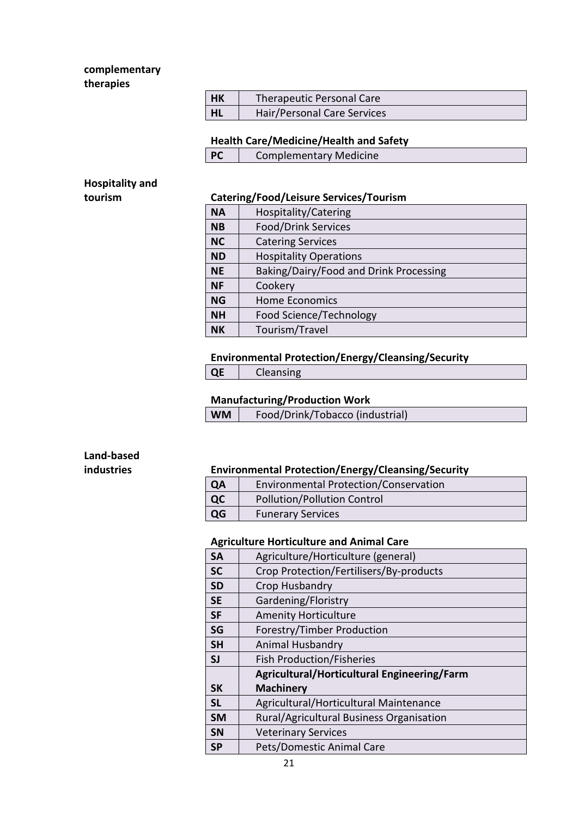#### **complementary therapies**

| l HK | Therapeutic Personal Care   |
|------|-----------------------------|
| L HL | Hair/Personal Care Services |

#### **Health Care/Medicine/Health and Safety**

| <b>Complementary Medicine</b> |
|-------------------------------|
|                               |

**Hospitality and** 

#### **tourism Catering/Food/Leisure Services/Tourism**

| <b>NA</b> | Hospitality/Catering                   |
|-----------|----------------------------------------|
| <b>NB</b> | <b>Food/Drink Services</b>             |
| <b>NC</b> | <b>Catering Services</b>               |
| <b>ND</b> | <b>Hospitality Operations</b>          |
| <b>NE</b> | Baking/Dairy/Food and Drink Processing |
| <b>NF</b> | Cookery                                |
| <b>NG</b> | <b>Home Economics</b>                  |
| <b>NH</b> | Food Science/Technology                |
| <b>NK</b> | Tourism/Travel                         |

#### **Environmental Protection/Energy/Cleansing/Security**

**QE** Cleansing

#### **Manufacturing/Production Work**

| <b>WM</b> | Food/Drink/Tobacco (industrial) |
|-----------|---------------------------------|
|-----------|---------------------------------|

# **Land-based**

#### **industries Environmental Protection/Energy/Cleansing/Security**

| <b>QA</b> | Environmental Protection/Conservation |
|-----------|---------------------------------------|
| $ $ QC    | <b>Pollution/Pollution Control</b>    |
| QG        | <b>Funerary Services</b>              |

#### **Agriculture Horticulture and Animal Care**

| <b>SA</b> | Agriculture/Horticulture (general)          |
|-----------|---------------------------------------------|
| <b>SC</b> | Crop Protection/Fertilisers/By-products     |
| <b>SD</b> | Crop Husbandry                              |
| <b>SE</b> | Gardening/Floristry                         |
| <b>SF</b> | <b>Amenity Horticulture</b>                 |
| SG        | Forestry/Timber Production                  |
| <b>SH</b> | <b>Animal Husbandry</b>                     |
| SJ        | <b>Fish Production/Fisheries</b>            |
|           | Agricultural/Horticultural Engineering/Farm |
| <b>SK</b> | <b>Machinery</b>                            |
| <b>SL</b> | Agricultural/Horticultural Maintenance      |
| <b>SM</b> | Rural/Agricultural Business Organisation    |
| <b>SN</b> | <b>Veterinary Services</b>                  |
| <b>SP</b> | Pets/Domestic Animal Care                   |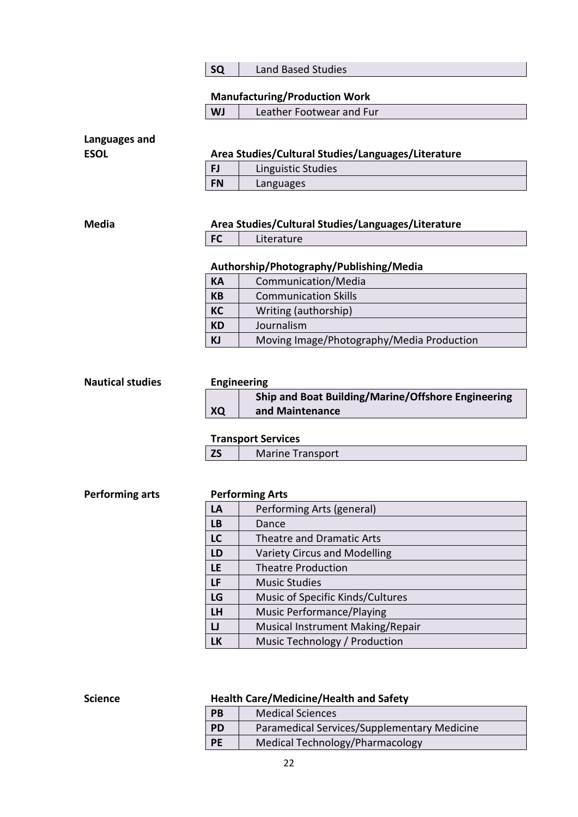**SQ** Land Based Studies

#### **Manufacturing/Production Work**

| <b>WJ</b> | Leather Footwear and Fur |
|-----------|--------------------------|
|-----------|--------------------------|

# **Languages and**

| <b>ESOL</b> | Area Studies/Cultural Studies/Languages/Literature |
|-------------|----------------------------------------------------|
|-------------|----------------------------------------------------|

|           | Linguistic Studies |
|-----------|--------------------|
| <b>FN</b> | Languages          |

#### **Media Area Studies/Cultural Studies/Languages/Literature**

**FC** Literature

#### **Authorship/Photography/Publishing/Media**

| Communication/Media                       |
|-------------------------------------------|
| <b>Communication Skills</b>               |
| Writing (authorship)                      |
| Journalism                                |
| Moving Image/Photography/Media Production |
|                                           |

# **Nautical studies Engineering**

|    | Ship and Boat Building/Marine/Offshore Engineering |
|----|----------------------------------------------------|
| XQ | and Maintenance                                    |

#### **Transport Services**

|  | <b>Marine Transport</b> |
|--|-------------------------|
|  |                         |

#### **Performing arts Performing Arts**

| LA        | Performing Arts (general)        |
|-----------|----------------------------------|
| <b>LB</b> | Dance                            |
| <b>LC</b> | <b>Theatre and Dramatic Arts</b> |
| LD        | Variety Circus and Modelling     |
| LE        | <b>Theatre Production</b>        |
| LF        | <b>Music Studies</b>             |
| LG        | Music of Specific Kinds/Cultures |
| LH        | Music Performance/Playing        |
| IJ        | Musical Instrument Making/Repair |
| LK        | Music Technology / Production    |

#### **Science Health Care/Medicine/Health and Safety**

| PB        | <b>Medical Sciences</b>                     |
|-----------|---------------------------------------------|
| <b>PD</b> | Paramedical Services/Supplementary Medicine |
| <b>PE</b> | Medical Technology/Pharmacology             |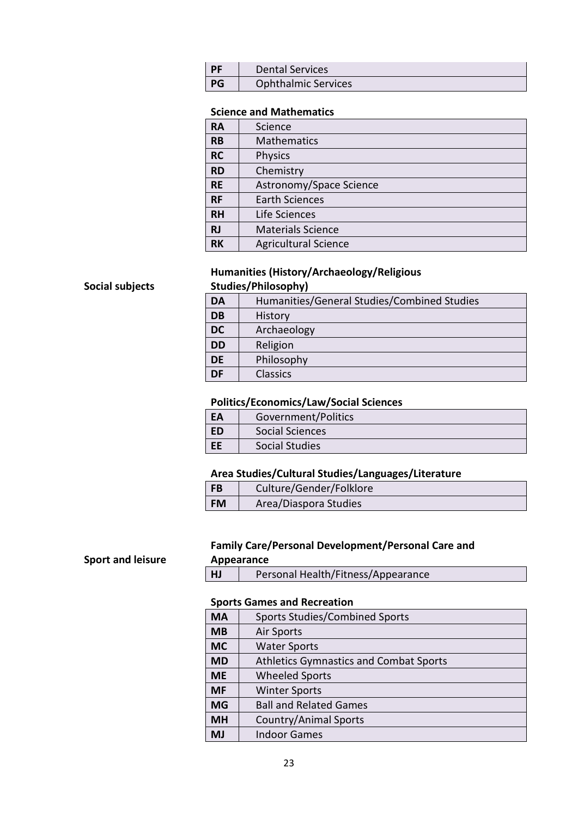| <b>DF</b> | <b>Dental Services</b>     |
|-----------|----------------------------|
| PG        | <b>Ophthalmic Services</b> |

#### **Science and Mathematics**

| <b>RA</b> | Science                     |
|-----------|-----------------------------|
| <b>RB</b> | <b>Mathematics</b>          |
| <b>RC</b> | <b>Physics</b>              |
| <b>RD</b> | Chemistry                   |
| <b>RE</b> | Astronomy/Space Science     |
| <b>RF</b> | <b>Earth Sciences</b>       |
| <b>RH</b> | Life Sciences               |
| <b>RJ</b> | <b>Materials Science</b>    |
| <b>RK</b> | <b>Agricultural Science</b> |

#### **Humanities (History/Archaeology/Religious Studies/Philosophy)**

## **Social subjects**

**Sport and leisure**

| <b>DA</b> | Humanities/General Studies/Combined Studies |
|-----------|---------------------------------------------|
| <b>DB</b> | History                                     |
| <b>DC</b> | Archaeology                                 |
| <b>DD</b> | Religion                                    |
| <b>DE</b> | Philosophy                                  |
| <b>DF</b> | <b>Classics</b>                             |

#### **Politics/Economics/Law/Social Sciences**

| EA        | Government/Politics   |
|-----------|-----------------------|
| ED        | Social Sciences       |
| <b>EE</b> | <b>Social Studies</b> |

#### **Area Studies/Cultural Studies/Languages/Literature**

| <b>FB</b> | Culture/Gender/Folklore |
|-----------|-------------------------|
| <b>FM</b> | Area/Diaspora Studies   |

#### **Family Care/Personal Development/Personal Care and Appearance**

**HJ** Personal Health/Fitness/Appearance

#### **Sports Games and Recreation**

| <b>MA</b> | <b>Sports Studies/Combined Sports</b>         |
|-----------|-----------------------------------------------|
| <b>MB</b> | <b>Air Sports</b>                             |
| <b>MC</b> | <b>Water Sports</b>                           |
| <b>MD</b> | <b>Athletics Gymnastics and Combat Sports</b> |
| <b>ME</b> | <b>Wheeled Sports</b>                         |
| <b>MF</b> | <b>Winter Sports</b>                          |
| <b>MG</b> | <b>Ball and Related Games</b>                 |
| <b>MH</b> | <b>Country/Animal Sports</b>                  |
| <b>MJ</b> | <b>Indoor Games</b>                           |